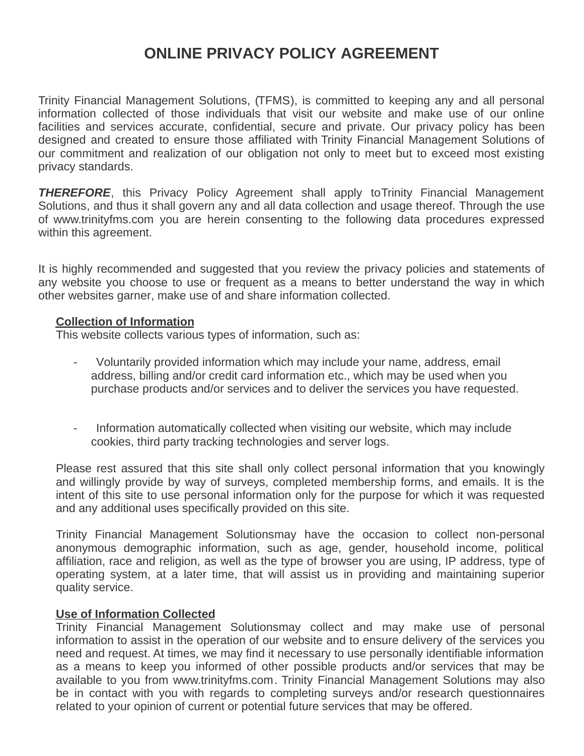# **ONLINE PRIVACY POLICY AGREEMENT**

Trinity Financial Management Solutions, (TFMS), is committed to keeping any and all personal information collected of those individuals that visit our website and make use of our online facilities and services accurate, confidential, secure and private. Our privacy policy has been designed and created to ensure those affiliated with Trinity Financial Management Solutions of our commitment and realization of our obligation not only to meet but to exceed most existing privacy standards.

*THEREFORE*, this Privacy Policy Agreement shall apply toTrinity Financial Management Solutions, and thus it shall govern any and all data collection and usage thereof. Through the use of www.trinityfms.com you are herein consenting to the following data procedures expressed within this agreement.

It is highly recommended and suggested that you review the privacy policies and statements of any website you choose to use or frequent as a means to better understand the way in which other websites garner, make use of and share information collected.

#### **Collection of Information**

This website collects various types of information, such as:

- Voluntarily provided information which may include your name, address, email address, billing and/or credit card information etc., which may be used when you purchase products and/or services and to deliver the services you have requested.
- Information automatically collected when visiting our website, which may include cookies, third party tracking technologies and server logs.

Please rest assured that this site shall only collect personal information that you knowingly and willingly provide by way of surveys, completed membership forms, and emails. It is the intent of this site to use personal information only for the purpose for which it was requested and any additional uses specifically provided on this site.

Trinity Financial Management Solutionsmay have the occasion to collect non-personal anonymous demographic information, such as age, gender, household income, political affiliation, race and religion, as well as the type of browser you are using, IP address, type of operating system, at a later time, that will assist us in providing and maintaining superior quality service.

#### **Use of Information Collected**

Trinity Financial Management Solutionsmay collect and may make use of personal information to assist in the operation of our website and to ensure delivery of the services you need and request. At times, we may find it necessary to use personally identifiable information as a means to keep you informed of other possible products and/or services that may be available to you from www.trinityfms.com. Trinity Financial Management Solutions may also be in contact with you with regards to completing surveys and/or research questionnaires related to your opinion of current or potential future services that may be offered.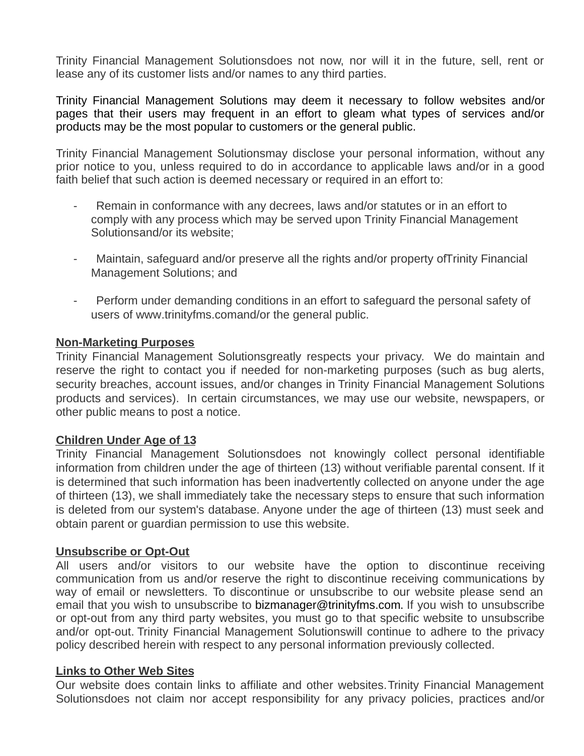Trinity Financial Management Solutionsdoes not now, nor will it in the future, sell, rent or lease any of its customer lists and/or names to any third parties.

Trinity Financial Management Solutions may deem it necessary to follow websites and/or pages that their users may frequent in an effort to gleam what types of services and/or products may be the most popular to customers or the general public.

Trinity Financial Management Solutionsmay disclose your personal information, without any prior notice to you, unless required to do in accordance to applicable laws and/or in a good faith belief that such action is deemed necessary or required in an effort to:

- Remain in conformance with any decrees, laws and/or statutes or in an effort to comply with any process which may be served upon Trinity Financial Management Solutionsand/or its website;
- Maintain, safeguard and/or preserve all the rights and/or property of Trinity Financial Management Solutions; and
- Perform under demanding conditions in an effort to safeguard the personal safety of users of www.trinityfms.comand/or the general public.

## **Non-Marketing Purposes**

Trinity Financial Management Solutionsgreatly respects your privacy. We do maintain and reserve the right to contact you if needed for non-marketing purposes (such as bug alerts, security breaches, account issues, and/or changes in Trinity Financial Management Solutions products and services). In certain circumstances, we may use our website, newspapers, or other public means to post a notice.

## **Children Under Age of 13**

Trinity Financial Management Solutionsdoes not knowingly collect personal identifiable information from children under the age of thirteen (13) without verifiable parental consent. If it is determined that such information has been inadvertently collected on anyone under the age of thirteen (13), we shall immediately take the necessary steps to ensure that such information is deleted from our system's database. Anyone under the age of thirteen (13) must seek and obtain parent or guardian permission to use this website.

## **Unsubscribe or Opt-Out**

All users and/or visitors to our website have the option to discontinue receiving communication from us and/or reserve the right to discontinue receiving communications by way of email or newsletters. To discontinue or unsubscribe to our website please send an email that you wish to unsubscribe to bizmanager@trinityfms.com. If you wish to unsubscribe or opt-out from any third party websites, you must go to that specific website to unsubscribe and/or opt-out. Trinity Financial Management Solutionswill continue to adhere to the privacy policy described herein with respect to any personal information previously collected.

#### **Links to Other Web Sites**

Our website does contain links to affiliate and other websites.Trinity Financial Management Solutionsdoes not claim nor accept responsibility for any privacy policies, practices and/or